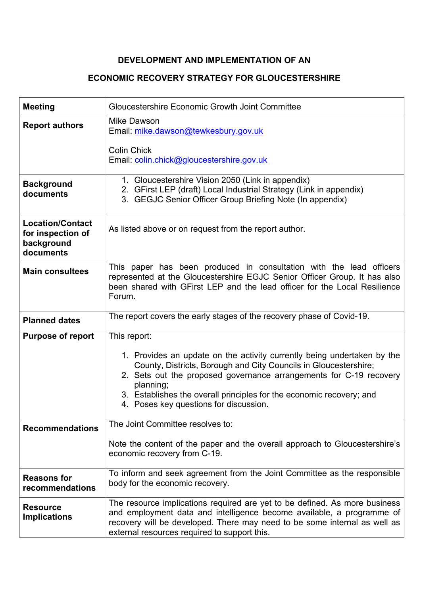# **DEVELOPMENT AND IMPLEMENTATION OF AN**

# **ECONOMIC RECOVERY STRATEGY FOR GLOUCESTERSHIRE**

| <b>Meeting</b>                                                          | Gloucestershire Economic Growth Joint Committee                                                                                                                                                                                                                                                                                                  |
|-------------------------------------------------------------------------|--------------------------------------------------------------------------------------------------------------------------------------------------------------------------------------------------------------------------------------------------------------------------------------------------------------------------------------------------|
| <b>Report authors</b>                                                   | Mike Dawson<br>Email: mike.dawson@tewkesbury.gov.uk                                                                                                                                                                                                                                                                                              |
|                                                                         | <b>Colin Chick</b><br>Email: colin.chick@gloucestershire.gov.uk                                                                                                                                                                                                                                                                                  |
| <b>Background</b><br>documents                                          | 1. Gloucestershire Vision 2050 (Link in appendix)<br>2. GFirst LEP (draft) Local Industrial Strategy (Link in appendix)<br>3. GEGJC Senior Officer Group Briefing Note (In appendix)                                                                                                                                                             |
| <b>Location/Contact</b><br>for inspection of<br>background<br>documents | As listed above or on request from the report author.                                                                                                                                                                                                                                                                                            |
| <b>Main consultees</b>                                                  | This paper has been produced in consultation with the lead officers<br>represented at the Gloucestershire EGJC Senior Officer Group. It has also<br>been shared with GFirst LEP and the lead officer for the Local Resilience<br>Forum.                                                                                                          |
| <b>Planned dates</b>                                                    | The report covers the early stages of the recovery phase of Covid-19.                                                                                                                                                                                                                                                                            |
| <b>Purpose of report</b>                                                | This report:                                                                                                                                                                                                                                                                                                                                     |
|                                                                         | 1. Provides an update on the activity currently being undertaken by the<br>County, Districts, Borough and City Councils in Gloucestershire;<br>2. Sets out the proposed governance arrangements for C-19 recovery<br>planning;<br>3. Establishes the overall principles for the economic recovery; and<br>4. Poses key questions for discussion. |
| <b>Recommendations</b>                                                  | The Joint Committee resolves to:                                                                                                                                                                                                                                                                                                                 |
|                                                                         | Note the content of the paper and the overall approach to Gloucestershire's<br>economic recovery from C-19.                                                                                                                                                                                                                                      |
| <b>Reasons for</b><br>recommendations                                   | To inform and seek agreement from the Joint Committee as the responsible<br>body for the economic recovery.                                                                                                                                                                                                                                      |
| <b>Resource</b><br><b>Implications</b>                                  | The resource implications required are yet to be defined. As more business<br>and employment data and intelligence become available, a programme of<br>recovery will be developed. There may need to be some internal as well as<br>external resources required to support this.                                                                 |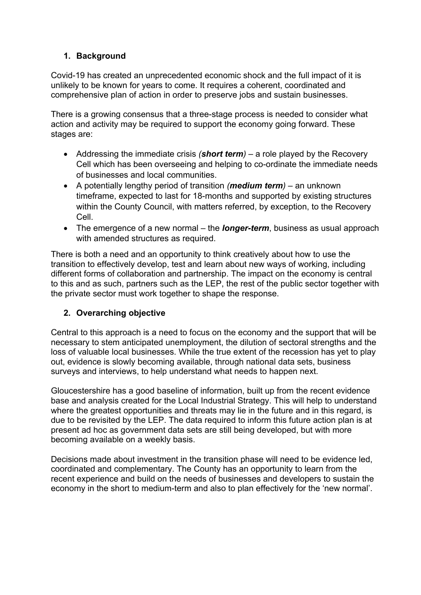## **1. Background**

Covid-19 has created an unprecedented economic shock and the full impact of it is unlikely to be known for years to come. It requires a coherent, coordinated and comprehensive plan of action in order to preserve jobs and sustain businesses.

There is a growing consensus that a three-stage process is needed to consider what action and activity may be required to support the economy going forward. These stages are:

- Addressing the immediate crisis *(short term)* a role played by the Recovery Cell which has been overseeing and helping to co-ordinate the immediate needs of businesses and local communities.
- A potentially lengthy period of transition *(medium term)* an unknown timeframe, expected to last for 18-months and supported by existing structures within the County Council, with matters referred, by exception, to the Recovery Cell.
- The emergence of a new normal the *longer-term*, business as usual approach with amended structures as required.

There is both a need and an opportunity to think creatively about how to use the transition to effectively develop, test and learn about new ways of working, including different forms of collaboration and partnership. The impact on the economy is central to this and as such, partners such as the LEP, the rest of the public sector together with the private sector must work together to shape the response.

#### **2. Overarching objective**

Central to this approach is a need to focus on the economy and the support that will be necessary to stem anticipated unemployment, the dilution of sectoral strengths and the loss of valuable local businesses. While the true extent of the recession has yet to play out, evidence is slowly becoming available, through national data sets, business surveys and interviews, to help understand what needs to happen next.

Gloucestershire has a good baseline of information, built up from the recent evidence base and analysis created for the Local Industrial Strategy. This will help to understand where the greatest opportunities and threats may lie in the future and in this regard, is due to be revisited by the LEP. The data required to inform this future action plan is at present ad hoc as government data sets are still being developed, but with more becoming available on a weekly basis.

Decisions made about investment in the transition phase will need to be evidence led, coordinated and complementary. The County has an opportunity to learn from the recent experience and build on the needs of businesses and developers to sustain the economy in the short to medium-term and also to plan effectively for the 'new normal'.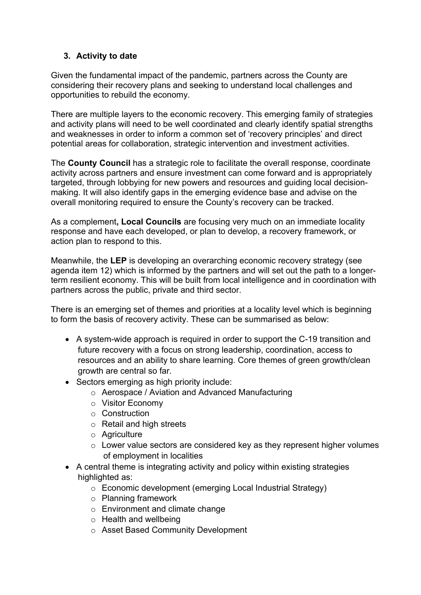#### **3. Activity to date**

Given the fundamental impact of the pandemic, partners across the County are considering their recovery plans and seeking to understand local challenges and opportunities to rebuild the economy.

There are multiple layers to the economic recovery. This emerging family of strategies and activity plans will need to be well coordinated and clearly identify spatial strengths and weaknesses in order to inform a common set of 'recovery principles' and direct potential areas for collaboration, strategic intervention and investment activities.

The **County Council** has a strategic role to facilitate the overall response, coordinate activity across partners and ensure investment can come forward and is appropriately targeted, through lobbying for new powers and resources and guiding local decisionmaking. It will also identify gaps in the emerging evidence base and advise on the overall monitoring required to ensure the County's recovery can be tracked.

As a complement**, Local Councils** are focusing very much on an immediate locality response and have each developed, or plan to develop, a recovery framework, or action plan to respond to this.

Meanwhile, the **LEP** is developing an overarching economic recovery strategy (see agenda item 12) which is informed by the partners and will set out the path to a longerterm resilient economy. This will be built from local intelligence and in coordination with partners across the public, private and third sector.

There is an emerging set of themes and priorities at a locality level which is beginning to form the basis of recovery activity. These can be summarised as below:

- A system-wide approach is required in order to support the C-19 transition and future recovery with a focus on strong leadership, coordination, access to resources and an ability to share learning. Core themes of green growth/clean growth are central so far.
- Sectors emerging as high priority include:
	- o Aerospace / Aviation and Advanced Manufacturing
	- o Visitor Economy
	- o Construction
	- o Retail and high streets
	- o Agriculture
	- $\circ$  Lower value sectors are considered key as they represent higher volumes of employment in localities
- A central theme is integrating activity and policy within existing strategies highlighted as:
	- o Economic development (emerging Local Industrial Strategy)
	- o Planning framework
	- o Environment and climate change
	- $\circ$  Health and wellbeing
	- o Asset Based Community Development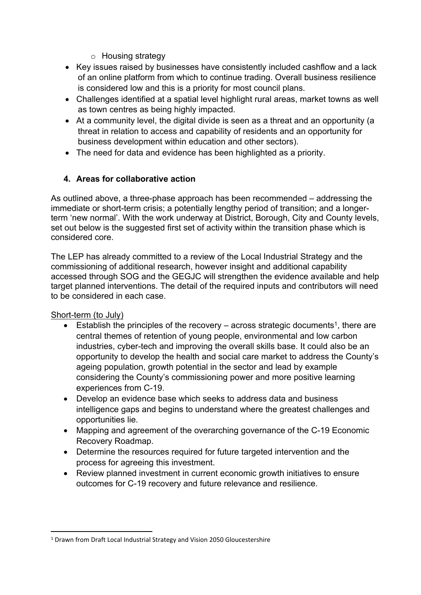- o Housing strategy
- Key issues raised by businesses have consistently included cashflow and a lack of an online platform from which to continue trading. Overall business resilience is considered low and this is a priority for most council plans.
- Challenges identified at a spatial level highlight rural areas, market towns as well as town centres as being highly impacted.
- At a community level, the digital divide is seen as a threat and an opportunity (a threat in relation to access and capability of residents and an opportunity for business development within education and other sectors).
- The need for data and evidence has been highlighted as a priority.

## **4. Areas for collaborative action**

As outlined above, a three-phase approach has been recommended – addressing the immediate or short-term crisis; a potentially lengthy period of transition; and a longerterm 'new normal'. With the work underway at District, Borough, City and County levels, set out below is the suggested first set of activity within the transition phase which is considered core.

The LEP has already committed to a review of the Local Industrial Strategy and the commissioning of additional research, however insight and additional capability accessed through SOG and the GEGJC will strengthen the evidence available and help target planned interventions. The detail of the required inputs and contributors will need to be considered in each case.

Short-term (to July)

- **Establish the principles of the recovery** across strategic documents<sup>1</sup>, there are central themes of retention of young people, environmental and low carbon industries, cyber-tech and improving the overall skills base. It could also be an opportunity to develop the health and social care market to address the County's ageing population, growth potential in the sector and lead by example considering the County's commissioning power and more positive learning experiences from C-19.
- Develop an evidence base which seeks to address data and business intelligence gaps and begins to understand where the greatest challenges and opportunities lie.
- Mapping and agreement of the overarching governance of the C-19 Economic Recovery Roadmap.
- Determine the resources required for future targeted intervention and the process for agreeing this investment.
- Review planned investment in current economic growth initiatives to ensure outcomes for C-19 recovery and future relevance and resilience.

<sup>1</sup> Drawn from Draft Local Industrial Strategy and Vision 2050 Gloucestershire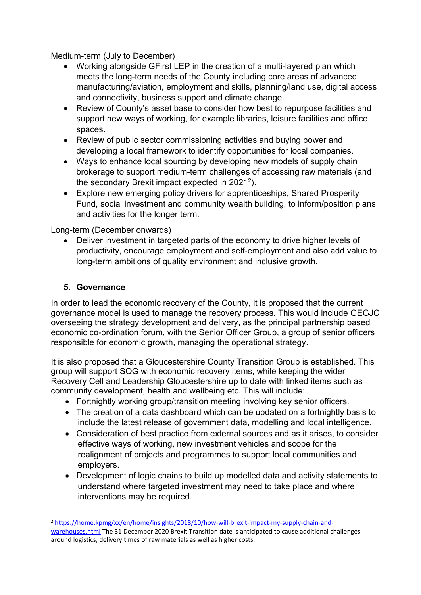Medium-term (July to December)

- Working alongside GFirst LEP in the creation of a multi-layered plan which meets the long-term needs of the County including core areas of advanced manufacturing/aviation, employment and skills, planning/land use, digital access and connectivity, business support and climate change.
- Review of County's asset base to consider how best to repurpose facilities and support new ways of working, for example libraries, leisure facilities and office spaces.
- Review of public sector commissioning activities and buying power and developing a local framework to identify opportunities for local companies.
- Ways to enhance local sourcing by developing new models of supply chain brokerage to support medium-term challenges of accessing raw materials (and the secondary Brexit impact expected in 2021<sup>2</sup> ).
- Explore new emerging policy drivers for apprenticeships, Shared Prosperity Fund, social investment and community wealth building, to inform/position plans and activities for the longer term.

#### Long-term (December onwards)

 Deliver investment in targeted parts of the economy to drive higher levels of productivity, encourage employment and self-employment and also add value to long-term ambitions of quality environment and inclusive growth.

## **5. Governance**

In order to lead the economic recovery of the County, it is proposed that the current governance model is used to manage the recovery process. This would include GEGJC overseeing the strategy development and delivery, as the principal partnership based economic co-ordination forum, with the Senior Officer Group, a group of senior officers responsible for economic growth, managing the operational strategy.

It is also proposed that a Gloucestershire County Transition Group is established. This group will support SOG with economic recovery items, while keeping the wider Recovery Cell and Leadership Gloucestershire up to date with linked items such as community development, health and wellbeing etc. This will include:

- Fortnightly working group/transition meeting involving key senior officers.
- The creation of a data dashboard which can be updated on a fortnightly basis to include the latest release of government data, modelling and local intelligence.
- Consideration of best practice from external sources and as it arises, to consider effective ways of working, new investment vehicles and scope for the realignment of projects and programmes to support local communities and employers.
- Development of logic chains to build up modelled data and activity statements to understand where targeted investment may need to take place and where interventions may be required.

<sup>2</sup> [https://home.kpmg/xx/en/home/insights/2018/10/how-will-brexit-impact-my-supply-chain-and](https://home.kpmg/xx/en/home/insights/2018/10/how-will-brexit-impact-my-supply-chain-and-warehouses.html)[warehouses.html](https://home.kpmg/xx/en/home/insights/2018/10/how-will-brexit-impact-my-supply-chain-and-warehouses.html) The 31 December 2020 Brexit Transition date is anticipated to cause additional challenges

around logistics, delivery times of raw materials as well as higher costs.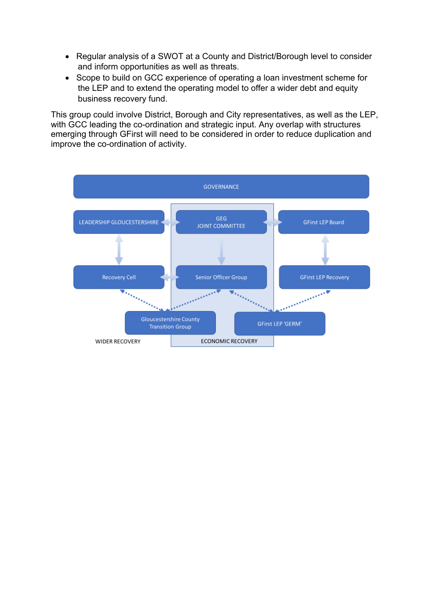- Regular analysis of a SWOT at a County and District/Borough level to consider and inform opportunities as well as threats.
- Scope to build on GCC experience of operating a loan investment scheme for the LEP and to extend the operating model to offer a wider debt and equity business recovery fund.

This group could involve District, Borough and City representatives, as well as the LEP, with GCC leading the co-ordination and strategic input. Any overlap with structures emerging through GFirst will need to be considered in order to reduce duplication and improve the co-ordination of activity.